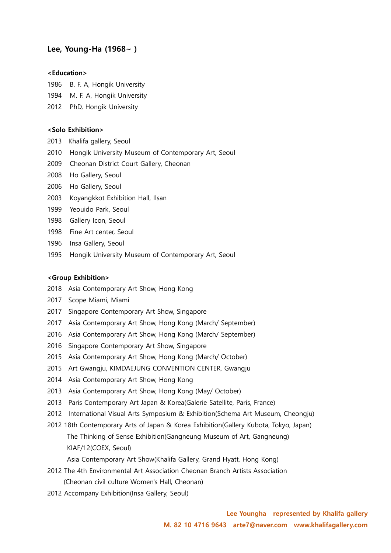# Lee, Young-Ha (1968~ )

#### <Education>

- 1986 B. F. A, Hongik University
- 1994 M. F. A, Hongik University
- 2012 PhD, Hongik University

#### <Solo Exhibition>

- 2013 Khalifa gallery, Seoul
- 2010 Hongik University Museum of Contemporary Art, Seoul
- 2009 Cheonan District Court Gallery, Cheonan
- 2008 Ho Gallery, Seoul
- 2006 Ho Gallery, Seoul
- 2003 Koyangkkot Exhibition Hall, Ilsan
- 1999 Yeouido Park, Seoul
- 1998 Gallery Icon, Seoul
- 1998 Fine Art center, Seoul
- 1996 Insa Gallery, Seoul
- 1995 Hongik University Museum of Contemporary Art, Seoul

### <Group Exhibition>

- 2018 Asia Contemporary Art Show, Hong Kong
- 2017 Scope Miami, Miami
- 2017 Singapore Contemporary Art Show, Singapore
- 2017 Asia Contemporary Art Show, Hong Kong (March/ September)
- 2016 Asia Contemporary Art Show, Hong Kong (March/ September)
- 2016 Singapore Contemporary Art Show, Singapore
- 2015 Asia Contemporary Art Show, Hong Kong (March/ October)
- 2015 Art Gwangju, KIMDAEJUNG CONVENTION CENTER, Gwangju
- 2014 Asia Contemporary Art Show, Hong Kong
- 2013 Asia Contemporary Art Show, Hong Kong (May/ October)
- 2013 Paris Contemporary Art Japan & Korea(Galerie Satellite, Paris, France)
- 2012 International Visual Arts Symposium & Exhibition(Schema Art Museum, Cheongju)
- 2012 18th Contemporary Arts of Japan & Korea Exhibition(Gallery Kubota, Tokyo, Japan) The Thinking of Sense Exhibition(Gangneung Museum of Art, Gangneung) KIAF/12(COEX, Seoul)

Asia Contemporary Art Show(Khalifa Gallery, Grand Hyatt, Hong Kong)

- 2012 The 4th Environmental Art Association Cheonan Branch Artists Association (Cheonan civil culture Women's Hall, Cheonan)
- 2012 Accompany Exhibition(Insa Gallery, Seoul)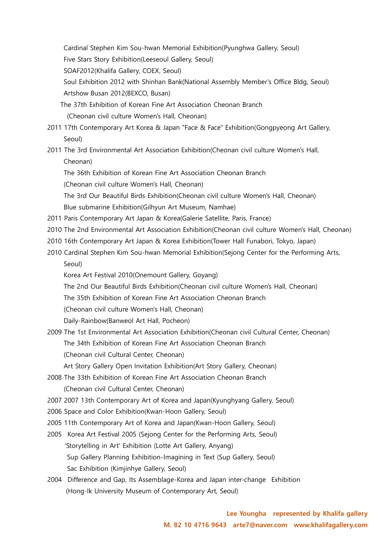Cardinal Stephen Kim Sou-hwan Memorial Exhibition(Pyunghwa Gallery, Seoul)

Five Stars Story Exhibition(Leeseoul Gallery, Seoul)

SOAF2012(Khalifa Gallery, COEX, Seoul)

 Soul Exhibition 2012 with Shinhan Bank(National Assembly Member's Office Bldg, Seoul) Artshow Busan 2012(BEXCO, Busan)

- The 37th Exhibition of Korean Fine Art Association Cheonan Branch (Cheonan civil culture Women's Hall, Cheonan)
- 2011 17th Contemporary Art Korea & Japan "Face & Face" Exhibition(Gongpyeong Art Gallery, Seoul)

2011 The 3rd Environmental Art Association Exhibition(Cheonan civil culture Women's Hall, Cheonan)

The 36th Exhibition of Korean Fine Art Association Cheonan Branch

(Cheonan civil culture Women's Hall, Cheonan)

The 3rd Our Beautiful Birds Exhibition(Cheonan civil culture Women's Hall, Cheonan)

Blue submarine Exhibition(Gilhyun Art Museum, Namhae)

- 2011 Paris Contemporary Art Japan & Korea(Galerie Satellite, Paris, France)
- 2010 The 2nd Environmental Art Association Exhibition(Cheonan civil culture Women's Hall, Cheonan)
- 2010 16th Contemporary Art Japan & Korea Exhibition(Tower Hall Funabori, Tokyo, Japan)
- 2010 Cardinal Stephen Kim Sou-hwan Memorial Exhibition(Sejong Center for the Performing Arts, Seoul)

Korea Art Festival 2010(Onemount Gallery, Goyang)

- The 2nd Our Beautiful Birds Exhibition(Cheonan civil culture Women's Hall, Cheonan)
- The 35th Exhibition of Korean Fine Art Association Cheonan Branch

(Cheonan civil culture Women's Hall, Cheonan)

Daily-Rainbow(Banweol Art Hall, Pocheon)

- 2009 The 1st Environmental Art Association Exhibition(Cheonan civil Cultural Center, Cheonan) The 34th Exhibition of Korean Fine Art Association Cheonan Branch
	- (Cheonan civil Cultural Center, Cheonan)

Art Story Gallery Open Invitation Exhibition(Art Story Gallery, Cheonan)

- 2008 The 33th Exhibition of Korean Fine Art Association Cheonan Branch (Cheonan civil Cultural Center, Cheonan)
- 2007 2007 13th Contemporary Art of Korea and Japan(Kyunghyang Gallery, Seoul)
- 2006 Space and Color Exhibition(Kwan-Hoon Gallery, Seoul)
- 2005 11th Contemporary Art of Korea and Japan(Kwan-Hoon Gallery, Seoul)
- 2005 Korea Art Festival 2005 (Sejong Center for the Performing Arts, Seoul) 'Storytelling in Art' Exhibition (Lotte Art Gallery, Anyang) Sup Gallery Planning Exhibition-Imagining in Text (Sup Gallery, Seoul) Sac Exhibition (Kimjinhye Gallery, Seoul)
- 2004 Difference and Gap, Its Assemblage-Korea and Japan inter-change Exhibition (Hong-Ik University Museum of Contemporary Art, Seoul)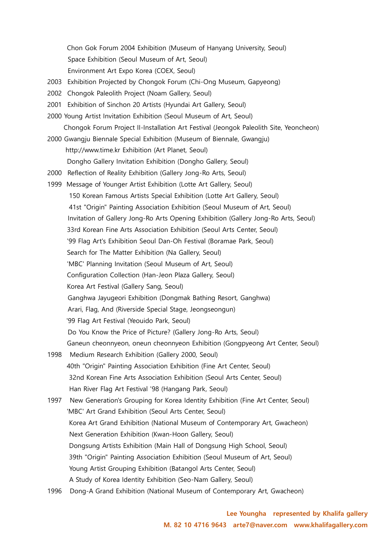Chon Gok Forum 2004 Exhibition (Museum of Hanyang University, Seoul) Space Exhibition (Seoul Museum of Art, Seoul) Environment Art Expo Korea (COEX, Seoul)

- 2003 Exhibition Projected by Chongok Forum (Chi-Ong Museum, Gapyeong)
- 2002 Chongok Paleolith Project (Noam Gallery, Seoul)
- 2001 Exhibition of Sinchon 20 Artists (Hyundai Art Gallery, Seoul)
- 2000 Young Artist Invitation Exhibition (Seoul Museum of Art, Seoul) Chongok Forum Project II-Installation Art Festival (Jeongok Paleolith Site, Yeoncheon)
- 2000 Gwangju Biennale Special Exhibition (Museum of Biennale, Gwangju) http://www.time.kr Exhibition (Art Planet, Seoul) Dongho Gallery Invitation Exhibition (Dongho Gallery, Seoul)
- 2000 Reflection of Reality Exhibition (Gallery Jong-Ro Arts, Seoul)
- 1999 Message of Younger Artist Exhibition (Lotte Art Gallery, Seoul)
	- 150 Korean Famous Artists Special Exhibition (Lotte Art Gallery, Seoul)
	- 41st "Origin" Painting Association Exhibition (Seoul Museum of Art, Seoul)
	- Invitation of Gallery Jong-Ro Arts Opening Exhibition (Gallery Jong-Ro Arts, Seoul)
	- 33rd Korean Fine Arts Association Exhibition (Seoul Arts Center, Seoul)
	- '99 Flag Art's Exhibition Seoul Dan-Oh Festival (Boramae Park, Seoul)
	- Search for The Matter Exhibition (Na Gallery, Seoul)
	- 'MBC' Planning Invitation (Seoul Museum of Art, Seoul)
	- Configuration Collection (Han-Jeon Plaza Gallery, Seoul)
	- Korea Art Festival (Gallery Sang, Seoul)
		- Ganghwa Jayugeori Exhibition (Dongmak Bathing Resort, Ganghwa)
	- Arari, Flag, And (Riverside Special Stage, Jeongseongun)
	- '99 Flag Art Festival (Yeouido Park, Seoul)
	- Do You Know the Price of Picture? (Gallery Jong-Ro Arts, Seoul)
	- Ganeun cheonnyeon, oneun cheonnyeon Exhibition (Gongpyeong Art Center, Seoul)
- 1998 Medium Research Exhibition (Gallery 2000, Seoul) 40th "Origin" Painting Association Exhibition (Fine Art Center, Seoul) 32nd Korean Fine Arts Association Exhibition (Seoul Arts Center, Seoul) Han River Flag Art Festival '98 (Hangang Park, Seoul)
- 1997 New Generation's Grouping for Korea Identity Exhibition (Fine Art Center, Seoul) 'MBC' Art Grand Exhibition (Seoul Arts Center, Seoul) Korea Art Grand Exhibition (National Museum of Contemporary Art, Gwacheon) Next Generation Exhibition (Kwan-Hoon Gallery, Seoul) Dongsung Artists Exhibition (Main Hall of Dongsung High School, Seoul) 39th "Origin" Painting Association Exhibition (Seoul Museum of Art, Seoul) Young Artist Grouping Exhibition (Batangol Arts Center, Seoul) A Study of Korea Identity Exhibition (Seo-Nam Gallery, Seoul)
- 1996 Dong-A Grand Exhibition (National Museum of Contemporary Art, Gwacheon)